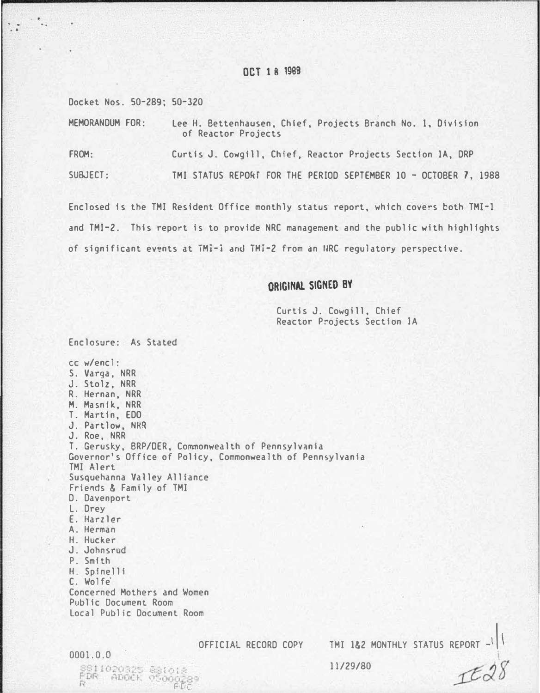# OCT 1 8 1999

Docket Nos. 50-289; 50-320

.. . ...

MEMORANDUM FOR: lee H. Bettenhausen, Chief, Projects Branch No. 1, Division of Reactor Projects FROM: Curtis J. Cowgill, Chief, Reactor Projects Section 1A, DRP SUBJECT: TMI STATUS REPORf FOR THE PERIOD SEPTEMBER 10- OCTOBER 7, 1988

Enclosed is the TMI Resident Office monthly status report, which covers both TMI-1 and TMI-2. This report is to provide NRC management and the public with highlights of significant events at TMI-1 and TMI-2 from an I�RC regulatory perspective.

# ORIGINAL SIGNED B'f

Curtis J. Cowgill, Chief Reactor Projects Section 1A

Enclosure: As Stated cc w/encl: S. Varga, NRR J. Stolz, NRR R. Hernan, NRR M. Masnlk, NRR T. Martin, EDO J. Partlow, NRR J. Roe, NRR T. Gerusky, BRP/DER, Commonwealth of Pennsylvania Governor's Office of Policy, Commonwealth of Pennsylvania TMI Alert Susquehanna Valley Alliance Friends & Family of TMI D. Davenport L. Drey E. Harzler A. Herman H. Hucker J. Johnsrud P. Smith H. Spinelli C. Wolfe· Concerned Mothers and Women Public Document Room Local Public Document Room

> \$\$1018<br>05000289 FD·�

0001.0.0

OFFICIAL RECORD COPY TMI 1&2 MONTHLY STATUS REPORT -

 $\left| \cdot \right|$ 

IE28

11/29/80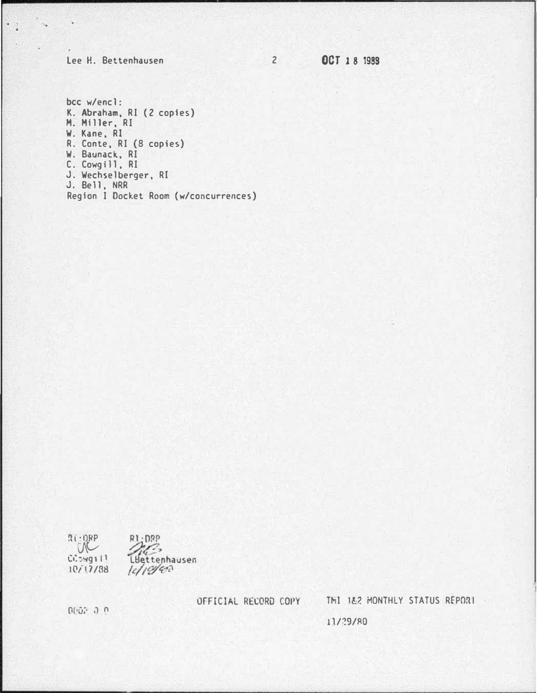# Lee H. Bettenhausen

 $\epsilon_{\rm 10}$ 

2 0CT 18 1989

 $bcc$   $w/enc$ ]: K. Abraham, RI (2 copies) M. Miller, RI W. Kane, RI R. Conte, RI (8 copies) W. Baunack, RI C. Cowgill, RI J. Wechselberger, RI<br>J. Bell, NRR Region I Docket Room (w/concurrences)

 $R(-1)RP$ R1:DPP  $\sqrt{2}$ n.c. LBettenhausen CONg111  $10/17/38$  $l$ c/19/6a

OFFICIAL RECORD COPY THI 182 MONTHLY STATUS REPORT

0002 0.0

11/29/80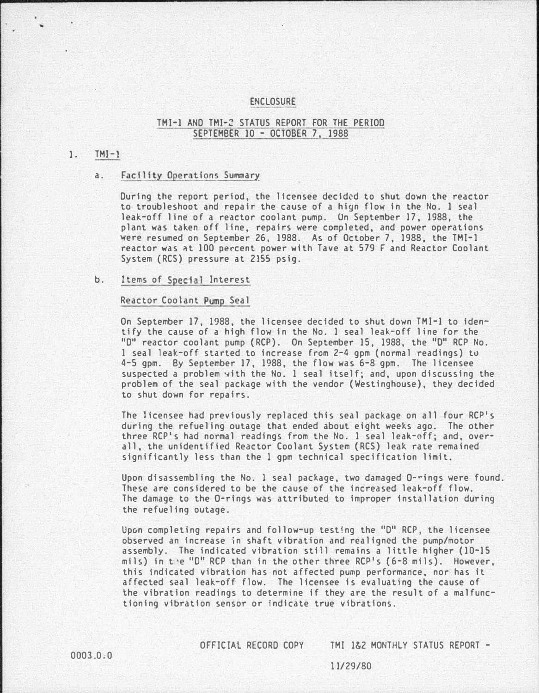### ENCLOSURE

## TMI-1 AND TMI-2 STATUS REPORT FOR THE PERIOD SEPTEMBER 10 - OCTOBER 7, 1988

# $1.$  TMI-1

# a. Facility Operations Summary

During the report period, the licensee decid�d to shut down the reactor to troubleshoot and repair the cause of a hign flow in the No. 1 seal leak-off line of a reactor coolant pump. On September 17, 1988, the plant was taken off line, repairs were completed, and power operations were resumed on September 26, 1988. As of October 7, 1988, the TMI-1 reactor was �t 100 percent power with Tave at 579 F and Reactor Coolant System {RCS) pressure at 2155 psig.

# b. Items of Special Interest

## Reactor Coolant Pump Seal

On September 17, 1988, the licensee decided to shut down TMI-1 to identify the cause of a high flow in the No. 1 seal leak-off line for the "D" reactor coolant pump (RCP). On September 15, 1988, the "0" RCP No. 1 seal leak-off started to increase from 2-4 gpm (normal readings) to 4-5 gpm. By September 17, 1988, the flow was 6-8 gpm. The licensee suspected a problem �ith the No. 1 seal itself; and, upon discussing the problem of the seal package with the vendor (Westinghouse), they decided to shut down for repairs.

The licensee had previously replaced this seal package on all four RCP's during the refueling outage that ended about eight weeks ago. The other three RCP's had normal readings from the No. 1 seal leak-off; and, overall, the unidentified Reactor Coolant System (RCS) leak rate remained significantly less than the 1 gpm technical specification limit.

Upon disassembling the No. I seal package, two damaged 0-rings were found. These are considered to be the cause of the increased leak-off flow. The damage to the 0-rings was attributed to improper Installation during the refueling outage.

Upon completing repairs and follow-up testing the "D" RCP, the licensee observed an increase in shaft vibration and realigned the pump/motor assembly. The indicated vibration still remains a little higher (10-15 mils) in t·e "O" RCP than in the other three RCP's {6-8 mils). However, this indicated vibration has not affected pump performance, nor has it affected seal leak-off flow. The licensee is evaluating the cause of the vibration readings to determine if they are the result of a malfunctioning vibration sensor or indicate true vibrations.

OFFICIAL RECORD COPY TMI 1&2 MONTHLY STATUS REPORT -

1 1/29/80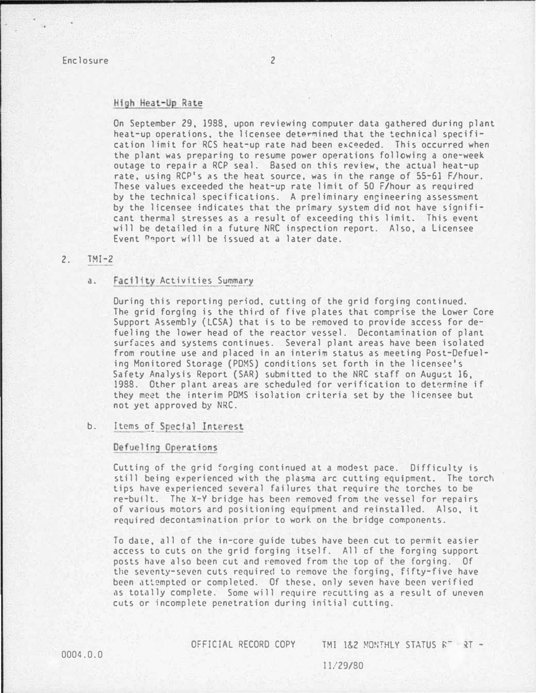# High Heat-Up Rate

On September 29, 1988, upon reviewing computer data gathered during plant heat-up operations, the licensee determined that the technical specification limit for RCS heat-up rate had been exceeded. This occurred when the plant was preparing to resume power operations following a one-week outage to repair a RCP seal. Based on this review, the actual heat-up rate, using RCP's as the heat source, was in the range of 55-61 F/hour. These values exceeded the heat-up rate limit of 50 F/hour as required by the technical specifications. A preliminary engineering assessment by the licensee indicates that the primary system did not have significant thermal stresses as a result of exceeding this limit. This event will be detailed in a future NRC inspection report. Also, a Licensee Event 0nport will be issued at a later date.

# 2. TMI-2

### a. Facility Activities Summary

During this reporting period. cutting of the grid forging continued. The grid forging is the third of five plates that comprise the lower Core Support Assembly (LCSA) that is to be removed to provide access for defueling the lower head of the reactor vessel. Decontamination of plant surfaces and systems continues. Several plant areas have been isolated from routine use and placed in an interim status as meeting Post-Defueling Monitored Storage (POMS) conditions set forth in the licen�ce's Safety Analysis Report (SAR) submitted to the NRC staff on August 16, 1988. Other plant areas are scheduled for verification to determine if they meet the interim PDMS isolation criteria set by the lic�nsee but not yet approved by NRC.

## b. Items of Special Interest.

#### Defueling Operations

Cutting of the grid forging continued at a modest pace. Difficulty is still being experienced with the plasma arc cutting equipment. The torch tips have experienced several failures that require the torches to be re-built. The X-Y bridge has been removed from the vessel for repairs of various notors and positioning equipment and reinstalled. Also, it required decontamination prior to work on the bridge components.

To date, all of the in-core guide tubes have been cut to permit easier access to cuts on the grid forging itself. All cf the forging support posts have also been cut and removed from the top of the forging. Of the seventy-seven cuts required to remove the forging, fifty-five have been attempted or completed. Of these, only seven have been verified as totally complete. Some will require recutting as a result of uneven cuts or incomplete penetration during initial cutting.

OFFICIAL RECORD COPY TMI 1&2 MONTHLY STATUS RT RT -